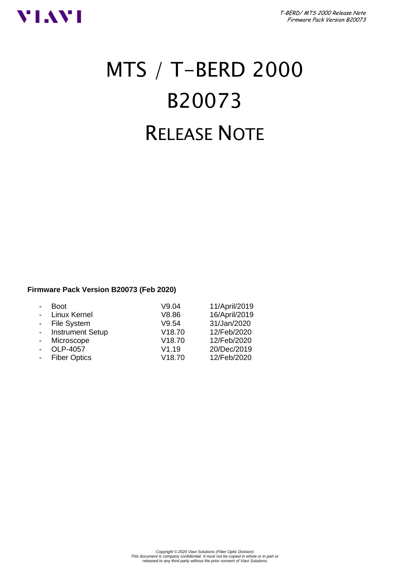

# MTS / T-BERD 2000 B20073 RELEASE NOTE

#### **Firmware Pack Version B20073 (Feb 2020)**

|                | <b>Boot</b>             | V9.04  | 11/April/2019 |
|----------------|-------------------------|--------|---------------|
| $\blacksquare$ | Linux Kernel            | V8.86  | 16/April/2019 |
|                | - File System           | V9.54  | 31/Jan/2020   |
| $\sim$         | <b>Instrument Setup</b> | V18.70 | 12/Feb/2020   |
|                | Microscope              | V18.70 | 12/Feb/2020   |
|                | OLP-4057                | V1.19  | 20/Dec/2019   |
|                | <b>Fiber Optics</b>     | V18.70 | 12/Feb/2020   |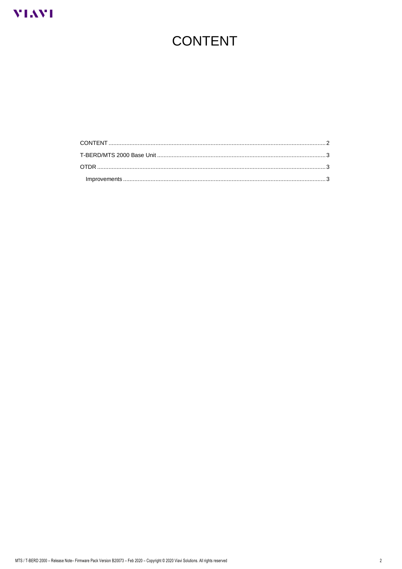### <span id="page-1-0"></span>**VIAVI**

## **CONTENT**